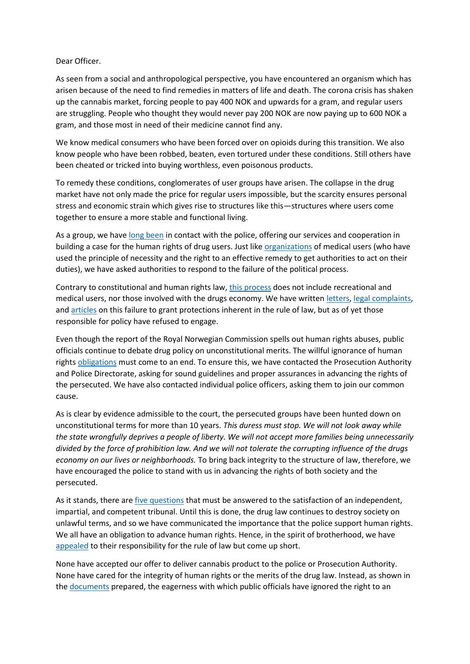## Dear Officer.

As seen from a social and anthropological perspective, you have encountered an organism which has arisen because of the need to find remedies in matters of life and death. The corona crisis has shaken up the cannabis market, forcing people to pay 400 NOK and upwards for a gram, and regular users are struggling. People who thought they would never pay 200 NOK are now paying up to 600 NOK a gram, and those most in need of their medicine cannot find any.

We know medical consumers who have been forced over on opioids during this transition. We also know people who have been robbed, beaten, even tortured under these conditions. Still others have been cheated or tricked into buying worthless, even poisonous products.

To remedy these conditions, conglomerates of user groups have arisen. The collapse in the drug market have not only made the price for regular users impossible, but the scarcity ensures personal stress and economic strain which gives rise to structures like this—structures where users come together to ensure a more stable and functional living.

As a group, we have [long been](https://8c75b10d-e0b1-4d25-99ed-609c80001c6c.filesusr.com/ugd/a479b9_0e8597c345eb400cb5deb96f6890b372.pdf) in contact with the police, offering our services and cooperation in building a case for the human rights of drug users. Just like [organizations](https://www.regjeringen.no/no/dokumenter/horing---rusreform-fra-straff-til-hjelp/id2683686/?uid=259c987a-c8f9-49d4-9ca4-6f90020a9740) of medical users (who have used the principle of necessity and the right to an effective remedy to get authorities to act on their duties), we have asked authorities to respond to the failure of the political process.

Contrary to constitutional and human rights law[, this process](https://www.regjeringen.no/no/dokumenter/horing---rusreform-fra-straff-til-hjelp/id2683686/?uid=b0d1868a-a960-42df-aaa2-e3f7887c04c2) does not include recreational and medical users, nor those involved with the drugs economy. We have written [letters,](https://8c75b10d-e0b1-4d25-99ed-609c80001c6c.filesusr.com/ugd/a479b9_691bc7dd23f649cf9d224f58dc203107.pdf) [legal complaints,](https://8c75b10d-e0b1-4d25-99ed-609c80001c6c.filesusr.com/ugd/a479b9_dcf552946b784c98af9331ab70c05c50.pdf) and [articles](https://www.dagbladet.no/kultur/storste-masseforfolgelse-i-moderne-tid/72512062?fbclid=IwAR2MfXFnWyozQkhJHYQGSvAtDE5w0zV9MDRiTXZNpracsYKCibxONMUngD0) on this failure to grant protections inherent in the rule of law, but as of yet those responsible for policy have refused to engage.

Even though the report of the Royal Norwegian Commission spells out human rights abuses, public officials continue to debate drug policy on unconstitutional merits. The willful ignorance of human right[s obligations](https://www.vg.no/nyheter/meninger/i/0n7A90/ruspolitikk-panikk-og-rettsstat) must come to an end. To ensure this, we have contacted the Prosecution Authority and Police Directorate, asking for sound guidelines and proper assurances in advancing the rights of the persecuted. We have also contacted individual police officers, asking them to join our common cause.

As is clear by evidence admissible to the court, the persecuted groups have been hunted down on unconstitutional terms for more than 10 years. *This duress must stop. We will not look away while the state wrongfully deprives a people of liberty. We will not accept more families being unnecessarily divided by the force of prohibition law. And we will not tolerate the corrupting influence of the drugs economy on our lives or neighborhoods.* To bring back integrity to the structure of law, therefore, we have encouraged the police to stand with us in advancing the rights of both society and the persecuted.

As it stands, there are [five questions](https://www.arodpolicies.org/five-questions-that-must-be-answere) that must be answered to the satisfaction of an independent, impartial, and competent tribunal. Until this is done, the drug law continues to destroy society on unlawful terms, and so we have communicated the importance that the police support human rights. We all have an obligation to advance human rights. Hence, in the spirit of brotherhood, we have [appealed](https://8c75b10d-e0b1-4d25-99ed-609c80001c6c.filesusr.com/ugd/a479b9_7febee4d601249e199d90a17d56617f8.pdf) to their responsibility for the rule of law but come up short.

None have accepted our offer to deliver cannabis product to the police or Prosecution Authority. None have cared for the integrity of human rights or the merits of the drug law. Instead, as shown in the [documents](https://8c75b10d-e0b1-4d25-99ed-609c80001c6c.filesusr.com/ugd/a479b9_9919d39084a6437c9d3ce526787aeb2d.pdf) prepared, the eagerness with which public officials have ignored the right to an